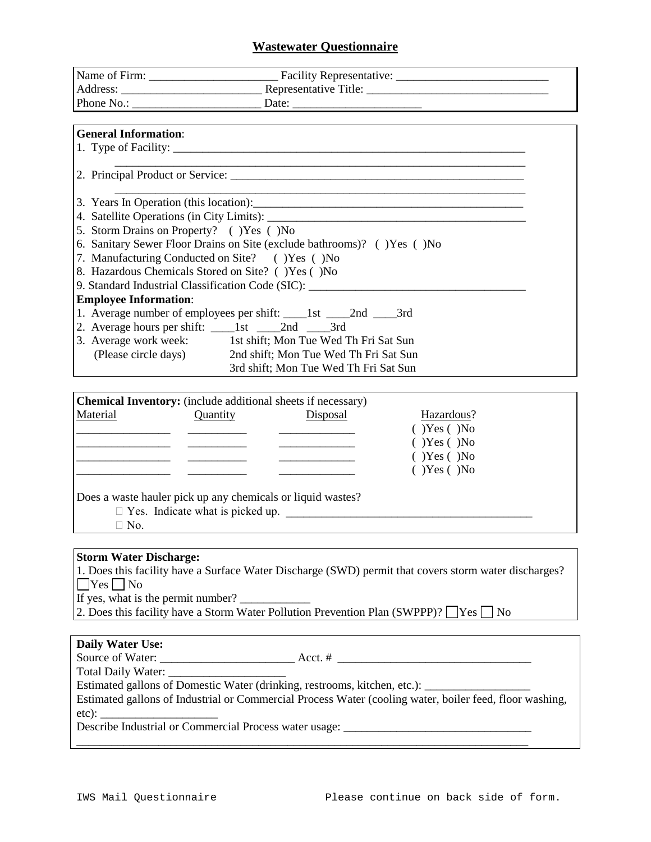### **Wastewater Questionnaire**

| <b>General Information:</b>                                              |                                                                                  |  |  |
|--------------------------------------------------------------------------|----------------------------------------------------------------------------------|--|--|
|                                                                          |                                                                                  |  |  |
|                                                                          |                                                                                  |  |  |
|                                                                          |                                                                                  |  |  |
|                                                                          |                                                                                  |  |  |
|                                                                          |                                                                                  |  |  |
|                                                                          |                                                                                  |  |  |
| 5. Storm Drains on Property? () Yes () No                                |                                                                                  |  |  |
| 6. Sanitary Sewer Floor Drains on Site (exclude bathrooms)? () Yes () No |                                                                                  |  |  |
| 7. Manufacturing Conducted on Site? () Yes () No                         |                                                                                  |  |  |
| 8. Hazardous Chemicals Stored on Site? () Yes () No                      |                                                                                  |  |  |
|                                                                          | 9. Standard Industrial Classification Code (SIC): ______________________________ |  |  |
| <b>Employee Information:</b>                                             |                                                                                  |  |  |
|                                                                          | 1. Average number of employees per shift: _____1st _____2nd _____3rd             |  |  |
|                                                                          |                                                                                  |  |  |
|                                                                          | 3. Average work week: 1st shift; Mon Tue Wed Th Fri Sat Sun                      |  |  |
|                                                                          | (Please circle days) 2nd shift; Mon Tue Wed Th Fri Sat Sun                       |  |  |
|                                                                          | 3rd shift; Mon Tue Wed Th Fri Sat Sun                                            |  |  |

|          | <b>Chemical Inventory:</b> (include additional sheets if necessary) |          |                    |
|----------|---------------------------------------------------------------------|----------|--------------------|
| Material | Quantity                                                            | Disposal | Hazardous?         |
|          |                                                                     |          | $(Y)$ Yes $(Y)$ No |
|          |                                                                     |          | $(Y)$ Yes $(Y)$ No |
|          |                                                                     |          | $(Y)$ Yes $(Y)$ No |
|          |                                                                     |          | $(Y)$ Yes $(Y)$ No |
|          |                                                                     |          |                    |
|          | Does a waste hauler pick up any chemicals or liquid wastes?         |          |                    |

 $\Box$  Yes. Indicate what is picked up.

 $\Box$  No.

#### **Storm Water Discharge:**

1. Does this facility have a Surface Water Discharge (SWD) permit that covers storm water discharges?  $\Box$  Yes  $\Box$  No

If yes, what is the permit number?

2. Does this facility have a Storm Water Pollution Prevention Plan (SWPPP)?  $\Box$  Yes  $\Box$  No

#### **Daily Water Use:**

Source of Water: \_\_\_\_\_\_\_\_\_\_\_\_\_\_\_\_\_\_\_\_\_\_\_ Acct. # \_\_\_\_\_\_\_\_\_\_\_\_\_\_\_\_\_\_\_\_\_\_\_\_\_\_\_\_\_\_\_\_\_

\_\_\_\_\_\_\_\_\_\_\_\_\_\_\_\_\_\_\_\_\_\_\_\_\_\_\_\_\_\_\_\_\_\_\_\_\_\_\_\_\_\_\_\_\_\_\_\_\_\_\_\_\_\_\_\_\_\_\_\_\_\_\_\_\_\_\_\_\_\_\_\_\_\_\_\_\_

Total Daily Water: \_\_\_\_\_\_\_\_\_\_\_\_\_\_\_\_\_\_\_\_

Estimated gallons of Domestic Water (drinking, restrooms, kitchen, etc.):

Estimated gallons of Industrial or Commercial Process Water (cooling water, boiler feed, floor washing, etc):

Describe Industrial or Commercial Process water usage: